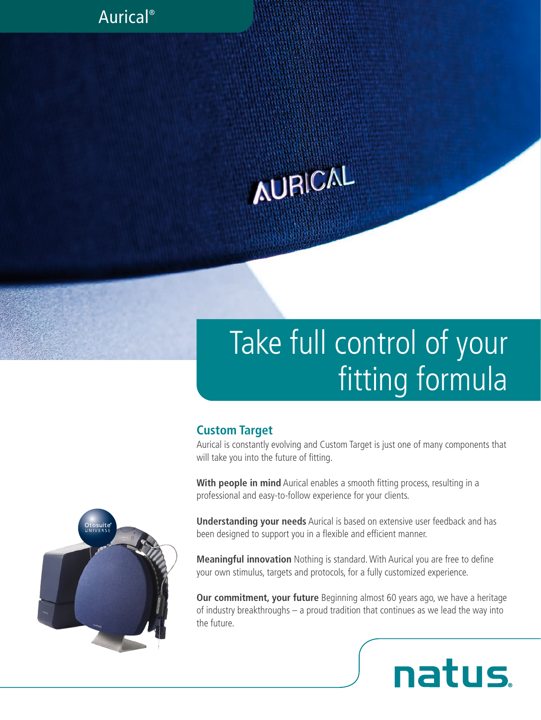### Aurical®

# **AURICAL**

# Take full control of your fitting formula

#### **Custom Target**

Aurical is constantly evolving and Custom Target is just one of many components that will take you into the future of fitting.

**With people in mind** Aurical enables a smooth fitting process, resulting in a professional and easy-to-follow experience for your clients.

**Understanding your needs** Aurical is based on extensive user feedback and has been designed to support you in a flexible and efficient manner.

**Meaningful innovation** Nothing is standard. With Aurical you are free to define your own stimulus, targets and protocols, for a fully customized experience.

**Our commitment, your future** Beginning almost 60 years ago, we have a heritage of industry breakthroughs – a proud tradition that continues as we lead the way into the future.